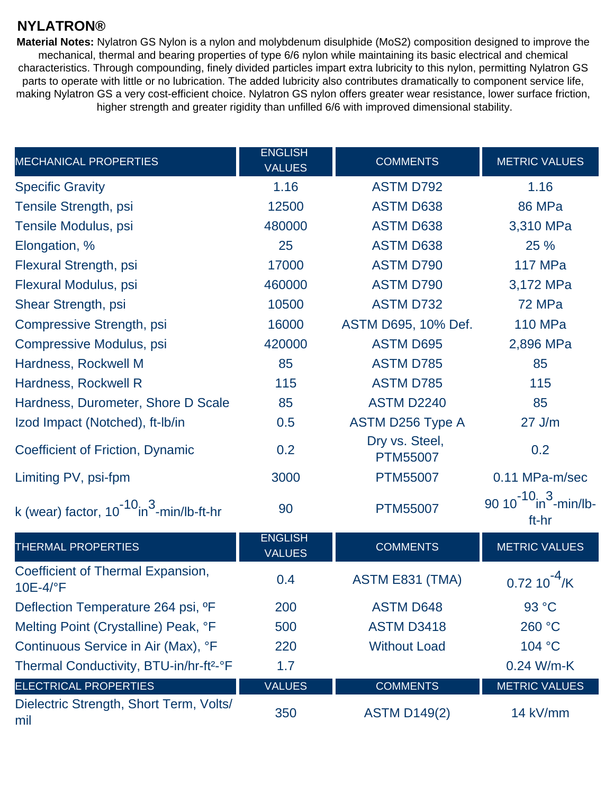## **NYLATRON®**

**Material Notes:** Nylatron GS Nylon is a nylon and molybdenum disulphide (MoS2) composition designed to improve the mechanical, thermal and bearing properties of type 6/6 nylon while maintaining its basic electrical and chemical characteristics. Through compounding, finely divided particles impart extra lubricity to this nylon, permitting Nylatron GS parts to operate with little or no lubrication. The added lubricity also contributes dramatically to component service life, making Nylatron GS a very cost-efficient choice. Nylatron GS nylon offers greater wear resistance, lower surface friction, higher strength and greater rigidity than unfilled 6/6 with improved dimensional stability.

| <b>MECHANICAL PROPERTIES</b>                                | <b>ENGLISH</b><br><b>VALUES</b> | <b>COMMENTS</b>                   | <b>METRIC VALUES</b>                              |
|-------------------------------------------------------------|---------------------------------|-----------------------------------|---------------------------------------------------|
| <b>Specific Gravity</b>                                     | 1.16                            | <b>ASTM D792</b>                  | 1.16                                              |
| Tensile Strength, psi                                       | 12500                           | <b>ASTM D638</b>                  | <b>86 MPa</b>                                     |
| Tensile Modulus, psi                                        | 480000                          | <b>ASTM D638</b>                  | 3,310 MPa                                         |
| Elongation, %                                               | 25                              | <b>ASTM D638</b>                  | 25 %                                              |
| Flexural Strength, psi                                      | 17000                           | <b>ASTM D790</b>                  | <b>117 MPa</b>                                    |
| Flexural Modulus, psi                                       | 460000                          | <b>ASTM D790</b>                  | 3,172 MPa                                         |
| Shear Strength, psi                                         | 10500                           | <b>ASTM D732</b>                  | 72 MPa                                            |
| <b>Compressive Strength, psi</b>                            | 16000                           | ASTM D695, 10% Def.               | <b>110 MPa</b>                                    |
| <b>Compressive Modulus, psi</b>                             | 420000                          | <b>ASTM D695</b>                  | 2,896 MPa                                         |
| Hardness, Rockwell M                                        | 85                              | <b>ASTM D785</b>                  | 85                                                |
| Hardness, Rockwell R                                        | 115                             | <b>ASTM D785</b>                  | 115                                               |
| Hardness, Durometer, Shore D Scale                          | 85                              | <b>ASTM D2240</b>                 | 85                                                |
| Izod Impact (Notched), ft-Ib/in                             | 0.5                             | ASTM D256 Type A                  | $27$ J/m                                          |
| Coefficient of Friction, Dynamic                            | 0.2                             | Dry vs. Steel,<br><b>PTM55007</b> | 0.2                                               |
| Limiting PV, psi-fpm                                        | 3000                            | <b>PTM55007</b>                   | 0.11 MPa-m/sec                                    |
| k (wear) factor, $10^{-10}$ in <sup>3</sup> -min/lb-ft-hr   | 90                              | <b>PTM55007</b>                   | 90 $10^{-10}$ in $\frac{3}{10}$ -min/lb-<br>ft-hr |
| THERMAL PROPERTIES                                          | <b>ENGLISH</b><br><b>VALUES</b> | <b>COMMENTS</b>                   | <b>METRIC VALUES</b>                              |
| Coefficient of Thermal Expansion,<br>$10E-4$ <sup>o</sup> F | 0.4                             | ASTM E831 (TMA)                   | $0.7210$ $\sqrt{K}$                               |
| Deflection Temperature 264 psi, <sup>o</sup> F              | 200                             | <b>ASTM D648</b>                  | 93 °C                                             |
| Melting Point (Crystalline) Peak, °F                        | 500                             | <b>ASTM D3418</b>                 | 260 °C                                            |
| Continuous Service in Air (Max), °F                         | 220                             | <b>Without Load</b>               | 104 °C                                            |
| Thermal Conductivity, BTU-in/hr-ft <sup>2</sup> -°F         | 1.7                             |                                   | 0.24 W/m-K                                        |
| <b>ELECTRICAL PROPERTIES</b>                                | <b>VALUES</b>                   | <b>COMMENTS</b>                   | <b>METRIC VALUES</b>                              |
| Dielectric Strength, Short Term, Volts/<br>mil              | 350                             | <b>ASTM D149(2)</b>               | 14 kV/mm                                          |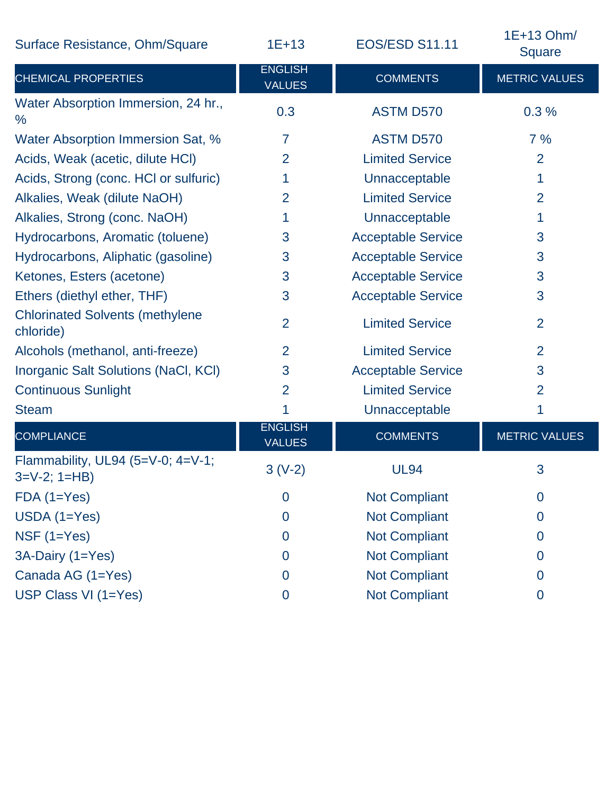Surface Resistance, Ohm/Square 1E+13 EOS

CHEMICAL PROPERTIES

ENGLISH VALUES

| S/ESD S11.11                 | 1E+13 Ohm/<br>Square |  |
|------------------------------|----------------------|--|
| <b>COMMENTS</b>              | <b>METRIC VALUES</b> |  |
| $\Lambda$ CTM $\Lambda$ DETA | റ റ റ⁄               |  |

| Water Absorption Immersion, 24 hr.,<br>$\%$             | 0.3                             | <b>ASTM D570</b>          | 0.3%                 |
|---------------------------------------------------------|---------------------------------|---------------------------|----------------------|
| Water Absorption Immersion Sat, %                       | $\overline{7}$                  | <b>ASTM D570</b>          | 7%                   |
| Acids, Weak (acetic, dilute HCI)                        | $\overline{2}$                  | <b>Limited Service</b>    | $\overline{2}$       |
| Acids, Strong (conc. HCI or sulfuric)                   | 1                               | Unnacceptable             | 1                    |
| Alkalies, Weak (dilute NaOH)                            | $\overline{2}$                  | <b>Limited Service</b>    | $\overline{2}$       |
| Alkalies, Strong (conc. NaOH)                           | 1                               | Unnacceptable             | 1                    |
| Hydrocarbons, Aromatic (toluene)                        | 3                               | <b>Acceptable Service</b> | 3                    |
| Hydrocarbons, Aliphatic (gasoline)                      | 3                               | <b>Acceptable Service</b> | 3                    |
| Ketones, Esters (acetone)                               | 3                               | <b>Acceptable Service</b> | 3                    |
| Ethers (diethyl ether, THF)                             | 3                               | <b>Acceptable Service</b> | 3                    |
| <b>Chlorinated Solvents (methylene</b><br>chloride)     | $\overline{2}$                  | <b>Limited Service</b>    | $\overline{2}$       |
| Alcohols (methanol, anti-freeze)                        | $\overline{2}$                  | <b>Limited Service</b>    | $\overline{2}$       |
| Inorganic Salt Solutions (NaCl, KCl)                    | 3                               | <b>Acceptable Service</b> | 3                    |
| <b>Continuous Sunlight</b>                              | $\overline{2}$                  | <b>Limited Service</b>    | $\overline{2}$       |
| <b>Steam</b>                                            | 1                               | Unnacceptable             | 1                    |
| <b>COMPLIANCE</b>                                       | <b>ENGLISH</b><br><b>VALUES</b> | <b>COMMENTS</b>           | <b>METRIC VALUES</b> |
| Flammability, UL94 (5=V-0; 4=V-1;<br>$3=V-2$ ; $1=HB$ ) | $3(V-2)$                        | <b>UL94</b>               | 3                    |
| $FDA(1=Yes)$                                            | $\overline{0}$                  | <b>Not Compliant</b>      | $\Omega$             |
| $USDA(1=Yes)$                                           | $\overline{0}$                  | <b>Not Compliant</b>      | $\Omega$             |
| NSF $(1=Yes)$                                           | $\overline{0}$                  | <b>Not Compliant</b>      | $\overline{0}$       |
| 3A-Dairy (1=Yes)                                        | $\overline{0}$                  | <b>Not Compliant</b>      | $\mathbf 0$          |
| Canada AG (1=Yes)                                       | $\overline{0}$                  | <b>Not Compliant</b>      | $\overline{0}$       |
| USP Class VI (1=Yes)                                    | $\overline{0}$                  | <b>Not Compliant</b>      | $\overline{0}$       |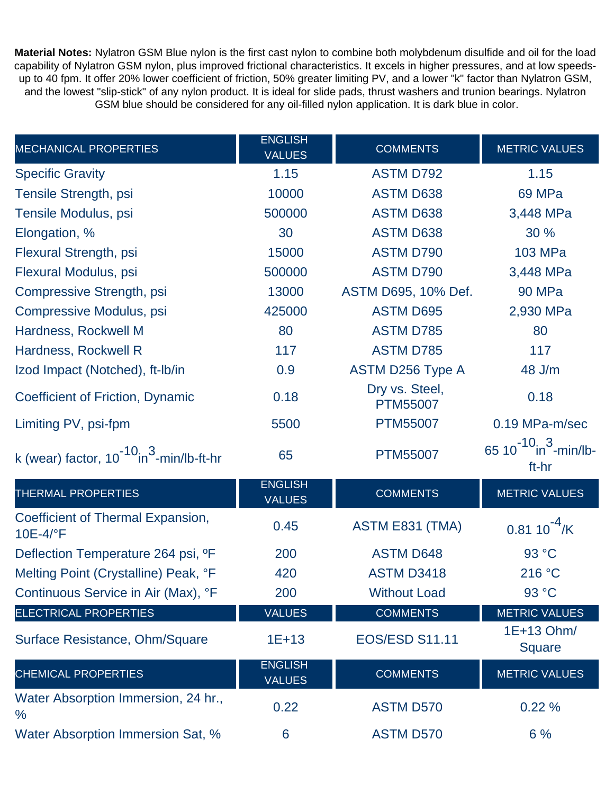**Material Notes:** Nylatron GSM Blue nylon is the first cast nylon to combine both molybdenum disulfide and oil for the load capability of Nylatron GSM nylon, plus improved frictional characteristics. It excels in higher pressures, and at low speedsup to 40 fpm. It offer 20% lower coefficient of friction, 50% greater limiting PV, and a lower "k" factor than Nylatron GSM, and the lowest "slip-stick" of any nylon product. It is ideal for slide pads, thrust washers and trunion bearings. Nylatron GSM blue should be considered for any oil-filled nylon application. It is dark blue in color.

| <b>MECHANICAL PROPERTIES</b>                              | <b>ENGLISH</b><br><b>VALUES</b> | <b>COMMENTS</b>                   | <b>METRIC VALUES</b>                   |
|-----------------------------------------------------------|---------------------------------|-----------------------------------|----------------------------------------|
| <b>Specific Gravity</b>                                   | 1.15                            | <b>ASTM D792</b>                  | 1.15                                   |
| Tensile Strength, psi                                     | 10000                           | <b>ASTM D638</b>                  | 69 MPa                                 |
| Tensile Modulus, psi                                      | 500000                          | <b>ASTM D638</b>                  | 3,448 MPa                              |
| Elongation, %                                             | 30                              | <b>ASTM D638</b>                  | 30 %                                   |
| Flexural Strength, psi                                    | 15000                           | <b>ASTM D790</b>                  | 103 MPa                                |
| Flexural Modulus, psi                                     | 500000                          | <b>ASTM D790</b>                  | 3,448 MPa                              |
| Compressive Strength, psi                                 | 13000                           | ASTM D695, 10% Def.               | <b>90 MPa</b>                          |
| <b>Compressive Modulus, psi</b>                           | 425000                          | <b>ASTM D695</b>                  | 2,930 MPa                              |
| Hardness, Rockwell M                                      | 80                              | <b>ASTM D785</b>                  | 80                                     |
| Hardness, Rockwell R                                      | 117                             | <b>ASTM D785</b>                  | 117                                    |
| Izod Impact (Notched), ft-Ib/in                           | 0.9                             | ASTM D256 Type A                  | 48 J/m                                 |
| Coefficient of Friction, Dynamic                          | 0.18                            | Dry vs. Steel,<br><b>PTM55007</b> | 0.18                                   |
| Limiting PV, psi-fpm                                      | 5500                            | <b>PTM55007</b>                   | 0.19 MPa-m/sec                         |
| k (wear) factor, $10^{-10}$ in <sup>3</sup> -min/lb-ft-hr | 65                              | <b>PTM55007</b>                   | 65 $10^{-10}$ in $3$ -min/lb-<br>ft-hr |
| THERMAL PROPERTIES                                        | <b>ENGLISH</b><br><b>VALUES</b> | <b>COMMENTS</b>                   | <b>METRIC VALUES</b>                   |
| Coefficient of Thermal Expansion,<br>10E-4/°F             | 0.45                            | ASTM E831 (TMA)                   | $0.81 10^{-4}$ /K                      |
| Deflection Temperature 264 psi, <sup>o</sup> F            | 200                             | <b>ASTM D648</b>                  | 93 °C                                  |
| Melting Point (Crystalline) Peak, °F                      | 420                             | <b>ASTM D3418</b>                 | 216 °C                                 |
| Continuous Service in Air (Max), °F                       | 200                             | <b>Without Load</b>               | 93 °C                                  |
| <b>ELECTRICAL PROPERTIES</b>                              | <b>VALUES</b>                   | <b>COMMENTS</b>                   | <b>METRIC VALUES</b>                   |
| Surface Resistance, Ohm/Square                            | $1E+13$                         | <b>EOS/ESD S11.11</b>             | 1E+13 Ohm/<br><b>Square</b>            |
| <b>CHEMICAL PROPERTIES</b>                                | <b>ENGLISH</b><br><b>VALUES</b> | <b>COMMENTS</b>                   | <b>METRIC VALUES</b>                   |
| Water Absorption Immersion, 24 hr.,<br>$\frac{0}{0}$      | 0.22                            | <b>ASTM D570</b>                  | 0.22%                                  |
| Water Absorption Immersion Sat, %                         | 6                               | <b>ASTM D570</b>                  | 6%                                     |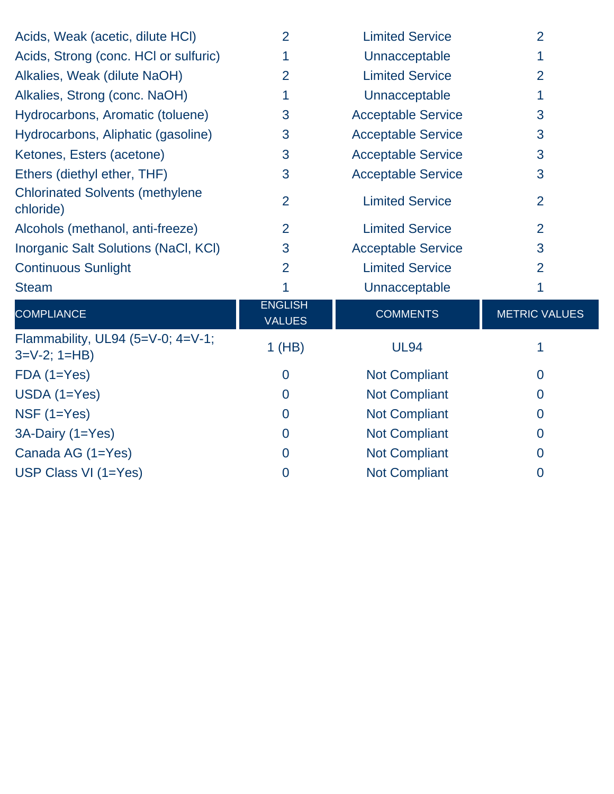| Acids, Weak (acetic, dilute HCI)                        | $\overline{2}$                  | <b>Limited Service</b>    | $\overline{2}$       |
|---------------------------------------------------------|---------------------------------|---------------------------|----------------------|
| Acids, Strong (conc. HCI or sulfuric)                   |                                 | Unnacceptable             |                      |
| Alkalies, Weak (dilute NaOH)                            | $\overline{2}$                  | <b>Limited Service</b>    | $\overline{2}$       |
| Alkalies, Strong (conc. NaOH)                           | 1                               | Unnacceptable             | 1                    |
| Hydrocarbons, Aromatic (toluene)                        | 3                               | <b>Acceptable Service</b> | 3                    |
| Hydrocarbons, Aliphatic (gasoline)                      | 3                               | <b>Acceptable Service</b> | 3                    |
| Ketones, Esters (acetone)                               | 3                               | <b>Acceptable Service</b> | 3                    |
| Ethers (diethyl ether, THF)                             | 3                               | <b>Acceptable Service</b> | 3                    |
| <b>Chlorinated Solvents (methylene</b><br>chloride)     | $\overline{2}$                  | <b>Limited Service</b>    | $\overline{2}$       |
| Alcohols (methanol, anti-freeze)                        | $\overline{2}$                  | <b>Limited Service</b>    | $\overline{2}$       |
| Inorganic Salt Solutions (NaCl, KCl)                    | 3                               | <b>Acceptable Service</b> | 3                    |
| <b>Continuous Sunlight</b>                              | $\overline{2}$                  | <b>Limited Service</b>    | $\overline{2}$       |
| <b>Steam</b>                                            | 1                               | Unnacceptable             | 1                    |
| <b>COMPLIANCE</b>                                       | <b>ENGLISH</b><br><b>VALUES</b> | <b>COMMENTS</b>           | <b>METRIC VALUES</b> |
| Flammability, UL94 (5=V-0; 4=V-1;<br>$3=V-2$ ; $1=HB$ ) | $1$ (HB)                        | <b>UL94</b>               |                      |
| $FDA(1=Yes)$                                            | $\mathbf 0$                     | <b>Not Compliant</b>      | $\mathbf 0$          |
| $USDA(1=Yes)$                                           | $\overline{0}$                  | <b>Not Compliant</b>      | $\overline{0}$       |
| $NSF(1=Yes)$                                            | $\overline{0}$                  | <b>Not Compliant</b>      | $\overline{0}$       |
| 3A-Dairy (1=Yes)                                        | $\overline{0}$                  | <b>Not Compliant</b>      | $\Omega$             |
| Canada AG (1=Yes)                                       | $\overline{0}$                  | <b>Not Compliant</b>      | $\boldsymbol{0}$     |
| USP Class VI (1=Yes)                                    | 0                               | <b>Not Compliant</b>      | $\overline{0}$       |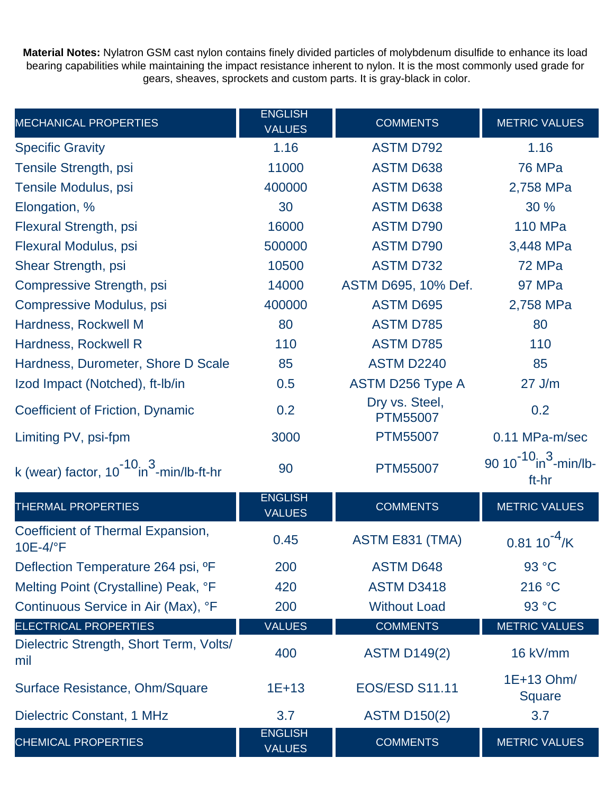**Material Notes:** Nylatron GSM cast nylon contains finely divided particles of molybdenum disulfide to enhance its load bearing capabilities while maintaining the impact resistance inherent to nylon. It is the most commonly used grade for gears, sheaves, sprockets and custom parts. It is gray-black in color.

| <b>MECHANICAL PROPERTIES</b>                              | <b>ENGLISH</b><br><b>VALUES</b> | <b>COMMENTS</b>                   | <b>METRIC VALUES</b>                   |
|-----------------------------------------------------------|---------------------------------|-----------------------------------|----------------------------------------|
| <b>Specific Gravity</b>                                   | 1.16                            | <b>ASTM D792</b>                  | 1.16                                   |
| Tensile Strength, psi                                     | 11000                           | <b>ASTM D638</b>                  | <b>76 MPa</b>                          |
| Tensile Modulus, psi                                      | 400000                          | <b>ASTM D638</b>                  | 2,758 MPa                              |
| Elongation, %                                             | 30                              | <b>ASTM D638</b>                  | 30 %                                   |
| Flexural Strength, psi                                    | 16000                           | <b>ASTM D790</b>                  | <b>110 MPa</b>                         |
| Flexural Modulus, psi                                     | 500000                          | <b>ASTM D790</b>                  | 3,448 MPa                              |
| Shear Strength, psi                                       | 10500                           | <b>ASTM D732</b>                  | 72 MPa                                 |
| Compressive Strength, psi                                 | 14000                           | ASTM D695, 10% Def.               | 97 MPa                                 |
| Compressive Modulus, psi                                  | 400000                          | <b>ASTM D695</b>                  | 2,758 MPa                              |
| Hardness, Rockwell M                                      | 80                              | <b>ASTM D785</b>                  | 80                                     |
| Hardness, Rockwell R                                      | 110                             | <b>ASTM D785</b>                  | 110                                    |
| Hardness, Durometer, Shore D Scale                        | 85                              | <b>ASTM D2240</b>                 | 85                                     |
| Izod Impact (Notched), ft-Ib/in                           | 0.5                             | ASTM D256 Type A                  | $27$ J/m                               |
| Coefficient of Friction, Dynamic                          | 0.2                             | Dry vs. Steel,<br><b>PTM55007</b> | 0.2                                    |
| Limiting PV, psi-fpm                                      | 3000                            | <b>PTM55007</b>                   | 0.11 MPa-m/sec                         |
| k (wear) factor, $10^{-10}$ in <sup>3</sup> -min/lb-ft-hr | 90                              | <b>PTM55007</b>                   | $90 10^{-10}$ in $3$ -min/lb-<br>ft-hr |
| <b>THERMAL PROPERTIES</b>                                 | <b>ENGLISH</b><br><b>VALUES</b> | <b>COMMENTS</b>                   | <b>METRIC VALUES</b>                   |
| Coefficient of Thermal Expansion,<br>10E-4/°F             | 0.45                            | ASTM E831 (TMA)                   | $0.8110$ <sup>-1</sup>                 |
| Deflection Temperature 264 psi, <sup>o</sup> F            | 200                             | <b>ASTM D648</b>                  | 93 °C                                  |
| Melting Point (Crystalline) Peak, °F                      | 420                             | <b>ASTM D3418</b>                 | 216 °C                                 |
| Continuous Service in Air (Max), °F                       | 200                             | <b>Without Load</b>               | 93 °C                                  |
| <b>ELECTRICAL PROPERTIES</b>                              | <b>VALUES</b>                   | <b>COMMENTS</b>                   | <b>METRIC VALUES</b>                   |
| Dielectric Strength, Short Term, Volts/<br>mil            | 400                             | <b>ASTM D149(2)</b>               | 16 kV/mm                               |
| Surface Resistance, Ohm/Square                            | $1E+13$                         | <b>EOS/ESD S11.11</b>             | 1E+13 Ohm/<br><b>Square</b>            |
| Dielectric Constant, 1 MHz                                | 3.7                             | <b>ASTM D150(2)</b>               | 3.7                                    |
| <b>CHEMICAL PROPERTIES</b>                                | <b>ENGLISH</b><br><b>VALUES</b> | <b>COMMENTS</b>                   | <b>METRIC VALUES</b>                   |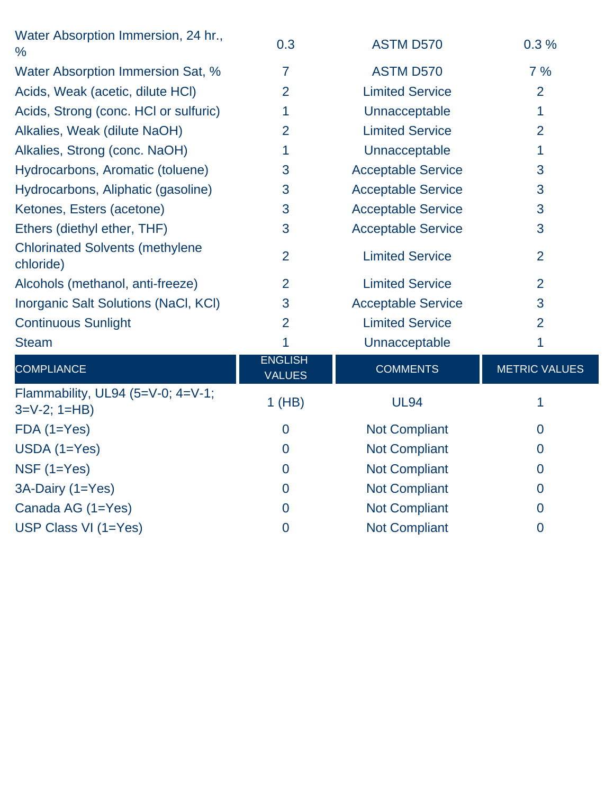| Water Absorption Immersion, 24 hr.,<br>$\frac{0}{0}$    | 0.3                             | <b>ASTM D570</b>          | 0.3%                 |
|---------------------------------------------------------|---------------------------------|---------------------------|----------------------|
| Water Absorption Immersion Sat, %                       | $\overline{7}$                  | <b>ASTM D570</b>          | 7%                   |
| Acids, Weak (acetic, dilute HCI)                        | $\overline{2}$                  | <b>Limited Service</b>    | 2                    |
| Acids, Strong (conc. HCI or sulfuric)                   | 1                               | Unnacceptable             | 1                    |
| Alkalies, Weak (dilute NaOH)                            | $\overline{2}$                  | <b>Limited Service</b>    | $\overline{2}$       |
| Alkalies, Strong (conc. NaOH)                           | 1                               | Unnacceptable             | 1                    |
| Hydrocarbons, Aromatic (toluene)                        | 3                               | <b>Acceptable Service</b> | 3                    |
| Hydrocarbons, Aliphatic (gasoline)                      | 3                               | <b>Acceptable Service</b> | 3                    |
| Ketones, Esters (acetone)                               | 3                               | <b>Acceptable Service</b> | 3                    |
| Ethers (diethyl ether, THF)                             | 3                               | <b>Acceptable Service</b> | 3                    |
| <b>Chlorinated Solvents (methylene</b><br>chloride)     | $\overline{2}$                  | <b>Limited Service</b>    | $\overline{2}$       |
| Alcohols (methanol, anti-freeze)                        | $\overline{2}$                  | <b>Limited Service</b>    | $\overline{2}$       |
| Inorganic Salt Solutions (NaCl, KCl)                    | 3                               | <b>Acceptable Service</b> | 3                    |
| <b>Continuous Sunlight</b>                              | $\overline{2}$                  | <b>Limited Service</b>    | $\overline{2}$       |
| <b>Steam</b>                                            | 1                               | Unnacceptable             | 1                    |
| <b>COMPLIANCE</b>                                       | <b>ENGLISH</b><br><b>VALUES</b> | <b>COMMENTS</b>           | <b>METRIC VALUES</b> |
| Flammability, UL94 (5=V-0; 4=V-1;<br>$3=V-2$ ; $1=HB$ ) | 1(HB)                           | <b>UL94</b>               | 1                    |
| $FDA(1=Yes)$                                            | $\overline{0}$                  | <b>Not Compliant</b>      | $\overline{0}$       |
| $USDA(1=Yes)$                                           | $\overline{0}$                  | <b>Not Compliant</b>      | $\overline{0}$       |
| NSF $(1=Yes)$                                           | $\overline{0}$                  | <b>Not Compliant</b>      | $\overline{0}$       |
| 3A-Dairy (1=Yes)                                        | $\overline{0}$                  | <b>Not Compliant</b>      | $\mathbf 0$          |
| Canada AG (1=Yes)                                       | $\mathbf 0$                     | <b>Not Compliant</b>      | $\overline{0}$       |
| USP Class VI (1=Yes)                                    | $\overline{0}$                  | <b>Not Compliant</b>      | $\overline{0}$       |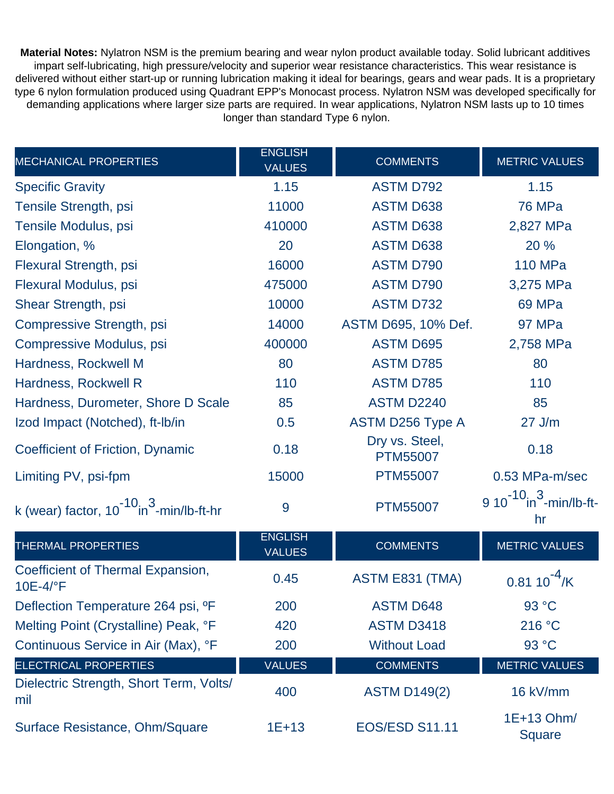**Material Notes:** Nylatron NSM is the premium bearing and wear nylon product available today. Solid lubricant additives impart self-lubricating, high pressure/velocity and superior wear resistance characteristics. This wear resistance is delivered without either start-up or running lubrication making it ideal for bearings, gears and wear pads. It is a proprietary type 6 nylon formulation produced using Quadrant EPP's Monocast process. Nylatron NSM was developed specifically for demanding applications where larger size parts are required. In wear applications, Nylatron NSM lasts up to 10 times longer than standard Type 6 nylon.

| <b>MECHANICAL PROPERTIES</b>                              | <b>ENGLISH</b><br><b>VALUES</b> | <b>COMMENTS</b>                   | <b>METRIC VALUES</b>                            |
|-----------------------------------------------------------|---------------------------------|-----------------------------------|-------------------------------------------------|
| <b>Specific Gravity</b>                                   | 1.15                            | <b>ASTM D792</b>                  | 1.15                                            |
| Tensile Strength, psi                                     | 11000                           | <b>ASTM D638</b>                  | <b>76 MPa</b>                                   |
| Tensile Modulus, psi                                      | 410000                          | <b>ASTM D638</b>                  | 2,827 MPa                                       |
| Elongation, %                                             | 20                              | <b>ASTM D638</b>                  | 20 %                                            |
| Flexural Strength, psi                                    | 16000                           | <b>ASTM D790</b>                  | <b>110 MPa</b>                                  |
| Flexural Modulus, psi                                     | 475000                          | <b>ASTM D790</b>                  | 3,275 MPa                                       |
| Shear Strength, psi                                       | 10000                           | <b>ASTM D732</b>                  | 69 MPa                                          |
| Compressive Strength, psi                                 | 14000                           | ASTM D695, 10% Def.               | 97 MPa                                          |
| Compressive Modulus, psi                                  | 400000                          | <b>ASTM D695</b>                  | 2,758 MPa                                       |
| Hardness, Rockwell M                                      | 80                              | <b>ASTM D785</b>                  | 80                                              |
| Hardness, Rockwell R                                      | 110                             | <b>ASTM D785</b>                  | 110                                             |
| Hardness, Durometer, Shore D Scale                        | 85                              | <b>ASTM D2240</b>                 | 85                                              |
| Izod Impact (Notched), ft-Ib/in                           | 0.5                             | <b>ASTM D256 Type A</b>           | $27$ J/m                                        |
| Coefficient of Friction, Dynamic                          | 0.18                            | Dry vs. Steel,<br><b>PTM55007</b> | 0.18                                            |
| Limiting PV, psi-fpm                                      | 15000                           | <b>PTM55007</b>                   | 0.53 MPa-m/sec                                  |
| k (wear) factor, $10^{-10}$ in <sup>3</sup> -min/lb-ft-hr | 9                               | <b>PTM55007</b>                   | $9 10^{-10}$ in $\frac{3}{2}$ -min/lb-ft-<br>hr |
| <b>THERMAL PROPERTIES</b>                                 | <b>ENGLISH</b><br><b>VALUES</b> | <b>COMMENTS</b>                   | <b>METRIC VALUES</b>                            |
| Coefficient of Thermal Expansion,<br>10E-4/°F             | 0.45                            | ASTM E831 (TMA)                   | $0.8110$ $\frac{7}{K}$                          |
| Deflection Temperature 264 psi, <sup>o</sup> F            | 200                             | <b>ASTM D648</b>                  | 93 °C                                           |
| Melting Point (Crystalline) Peak, °F                      | 420                             | <b>ASTM D3418</b>                 | 216 °C                                          |
| Continuous Service in Air (Max), °F                       | 200                             | <b>Without Load</b>               | 93 °C                                           |
| <b>ELECTRICAL PROPERTIES</b>                              | <b>VALUES</b>                   | <b>COMMENTS</b>                   | <b>METRIC VALUES</b>                            |
| Dielectric Strength, Short Term, Volts/<br>mil            | 400                             | <b>ASTM D149(2)</b>               | 16 kV/mm                                        |
| Surface Resistance, Ohm/Square                            | $1E+13$                         | <b>EOS/ESD S11.11</b>             | 1E+13 Ohm/<br>Square                            |